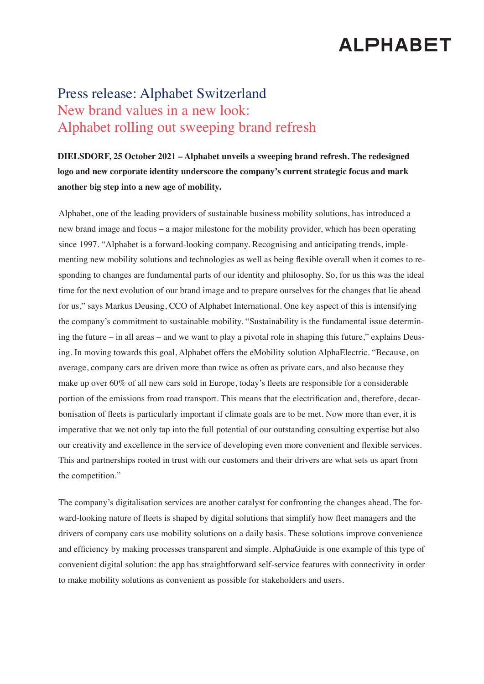## **ALPHABET**

## Press release: Alphabet Switzerland New brand values in a new look: Alphabet rolling out sweeping brand refresh

**DIELSDORF, 25 October 2021 – Alphabet unveils a sweeping brand refresh. The redesigned logo and new corporate identity underscore the company's current strategic focus and mark another big step into a new age of mobility.**

Alphabet, one of the leading providers of sustainable business mobility solutions, has introduced a new brand image and focus – a major milestone for the mobility provider, which has been operating since 1997. "Alphabet is a forward-looking company. Recognising and anticipating trends, implementing new mobility solutions and technologies as well as being flexible overall when it comes to responding to changes are fundamental parts of our identity and philosophy. So, for us this was the ideal time for the next evolution of our brand image and to prepare ourselves for the changes that lie ahead for us," says Markus Deusing, CCO of Alphabet International. One key aspect of this is intensifying the company's commitment to sustainable mobility. "Sustainability is the fundamental issue determining the future – in all areas – and we want to play a pivotal role in shaping this future," explains Deusing. In moving towards this goal, Alphabet offers the eMobility solution AlphaElectric. "Because, on average, company cars are driven more than twice as often as private cars, and also because they make up over 60% of all new cars sold in Europe, today's fleets are responsible for a considerable portion of the emissions from road transport. This means that the electrification and, therefore, decarbonisation of fleets is particularly important if climate goals are to be met. Now more than ever, it is imperative that we not only tap into the full potential of our outstanding consulting expertise but also our creativity and excellence in the service of developing even more convenient and flexible services. This and partnerships rooted in trust with our customers and their drivers are what sets us apart from the competition."

The company's digitalisation services are another catalyst for confronting the changes ahead. The forward-looking nature of fleets is shaped by digital solutions that simplify how fleet managers and the drivers of company cars use mobility solutions on a daily basis. These solutions improve convenience and efficiency by making processes transparent and simple. AlphaGuide is one example of this type of convenient digital solution: the app has straightforward self-service features with connectivity in order to make mobility solutions as convenient as possible for stakeholders and users.